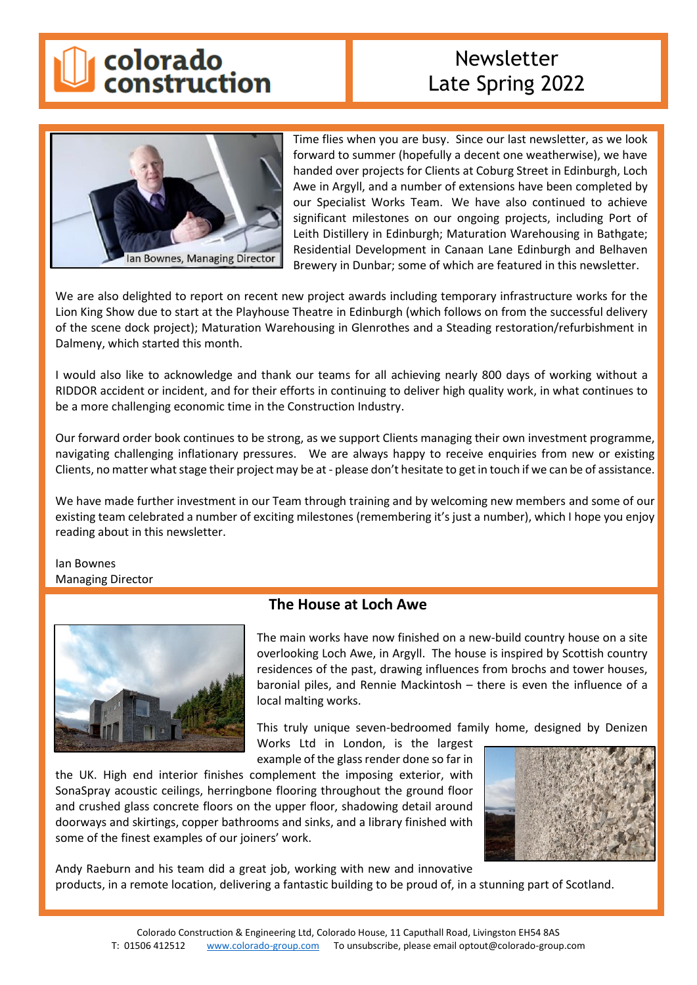

# Newsletter Late Spring 2022



Time flies when you are busy. Since our last newsletter, as we look forward to summer (hopefully a decent one weatherwise), we have handed over projects for Clients at Coburg Street in Edinburgh, Loch Awe in Argyll, and a number of extensions have been completed by our Specialist Works Team. We have also continued to achieve significant milestones on our ongoing projects, including Port of Leith Distillery in Edinburgh; Maturation Warehousing in Bathgate; Residential Development in Canaan Lane Edinburgh and Belhaven Brewery in Dunbar; some of which are featured in this newsletter.

We are also delighted to report on recent new project awards including temporary infrastructure works for the Lion King Show due to start at the Playhouse Theatre in Edinburgh (which follows on from the successful delivery of the scene dock project); Maturation Warehousing in Glenrothes and a Steading restoration/refurbishment in Dalmeny, which started this month.

I would also like to acknowledge and thank our teams for all achieving nearly 800 days of working without a RIDDOR accident or incident, and for their efforts in continuing to deliver high quality work, in what continues to be a more challenging economic time in the Construction Industry.

Our forward order book continues to be strong, as we support Clients managing their own investment programme, navigating challenging inflationary pressures. We are always happy to receive enquiries from new or existing Clients, no matter what stage their project may be at - please don't hesitate to get in touch if we can be of assistance.

We have made further investment in our Team through training and by welcoming new members and some of our existing team celebrated a number of exciting milestones (remembering it's just a number), which I hope you enjoy reading about in this newsletter.

Ian Bownes Managing Director



## **The House at Loch Awe**

The main works have now finished on a new-build country house on a site overlooking Loch Awe, in Argyll. The house is inspired by Scottish country residences of the past, drawing influences from brochs and tower houses, baronial piles, and Rennie Mackintosh – there is even the influence of a local malting works.

This truly unique seven-bedroomed family home, designed by Denizen

Works Ltd in London, is the largest example of the glass render done so far in

the UK. High end interior finishes complement the imposing exterior, with SonaSpray acoustic ceilings, herringbone flooring throughout the ground floor and crushed glass concrete floors on the upper floor, shadowing detail around doorways and skirtings, copper bathrooms and sinks, and a library finished with some of the finest examples of our joiners' work.



Andy Raeburn and his team did a great job, working with new and innovative products, in a remote location, delivering a fantastic building to be proud of, in a stunning part of Scotland.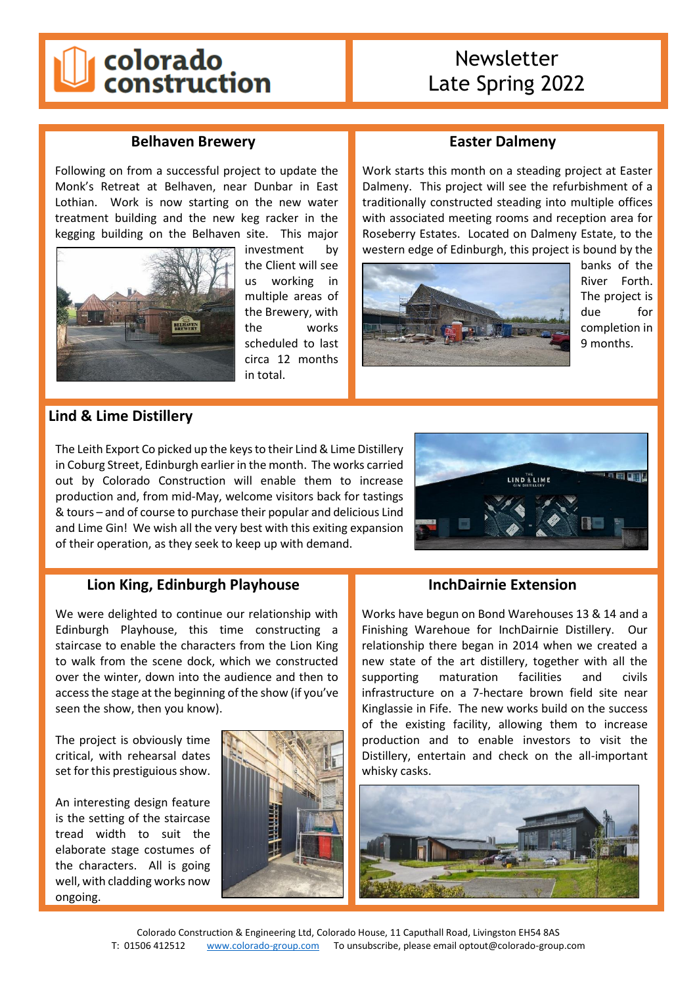# colorado<br>construction

# Newsletter Late Spring 2022

### **Belhaven Brewery**

Following on from a successful project to update the Monk's Retreat at Belhaven, near Dunbar in East Lothian. Work is now starting on the new water treatment building and the new keg racker in the kegging building on the Belhaven site. This major



investment by the Client will see us working in multiple areas of the Brewery, with the works scheduled to last circa 12 months in total.

## **Easter Dalmeny**

Work starts this month on a steading project at Easter Dalmeny. This project will see the refurbishment of a traditionally constructed steading into multiple offices with associated meeting rooms and reception area for Roseberry Estates. Located on Dalmeny Estate, to the western edge of Edinburgh, this project is bound by the



banks of the River Forth. The project is due for completion in 9 months.

### **Lind & Lime Distillery**

The Leith Export Co picked up the keys to their Lind & Lime Distillery in Coburg Street, Edinburgh earlier in the month. The works carried out by Colorado Construction will enable them to increase production and, from mid-May, welcome visitors back for tastings & tours – and of course to purchase their popular and delicious Lind and Lime Gin! We wish all the very best with this exiting expansion of their operation, as they seek to keep up with demand.



#### **Lion King, Edinburgh Playhouse**

We were delighted to continue our relationship with Edinburgh Playhouse, this time constructing a staircase to enable the characters from the Lion King to walk from the scene dock, which we constructed over the winter, down into the audience and then to access the stage at the beginning of the show (if you've seen the show, then you know).

The project is obviously time critical, with rehearsal dates set for this prestiguious show.

An interesting design feature is the setting of the staircase tread width to suit the elaborate stage costumes of the characters. All is going well, with cladding works now ongoing.



#### **InchDairnie Extension**

Works have begun on Bond Warehouses 13 & 14 and a Finishing Warehoue for InchDairnie Distillery. Our relationship there began in 2014 when we created a new state of the art distillery, together with all the supporting maturation facilities and civils infrastructure on a 7-hectare brown field site near Kinglassie in Fife. The new works build on the success of the existing facility, allowing them to increase production and to enable investors to visit the Distillery, entertain and check on the all-important whisky casks.

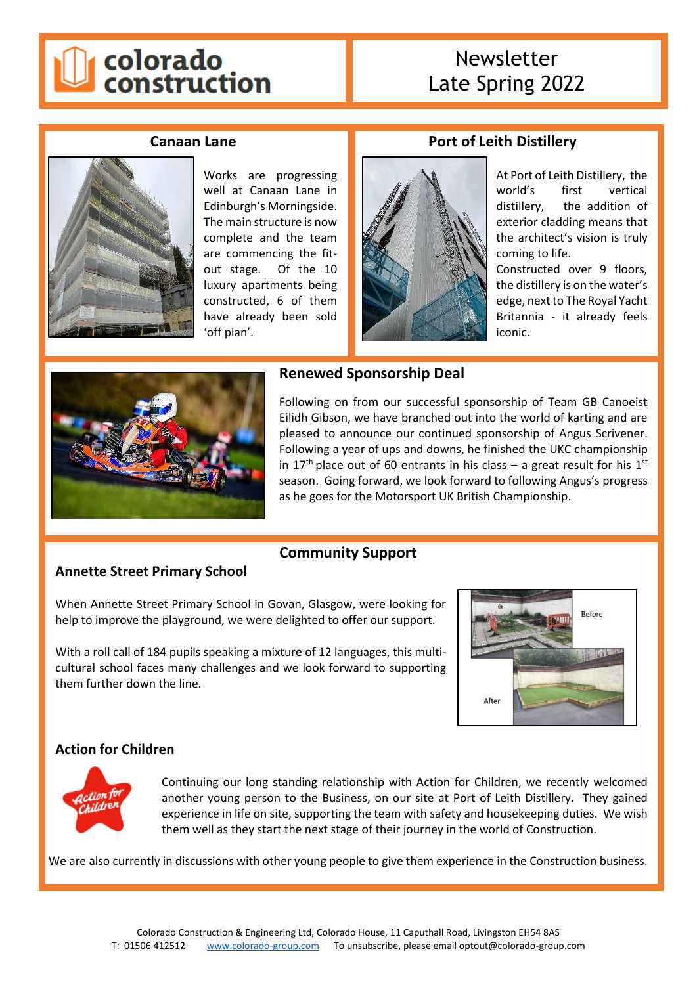

# Newsletter Late Spring 2022

**Port of Leith Distillery**

#### **Canaan Lane**



Works are progressing well at Canaan Lane in Edinburgh's Morningside. The main structure is now complete and the team are commencing the fitout stage. Of the 10 luxury apartments being constructed, 6 of them have already been sold 'off plan'.



At Port of Leith Distillery, the world's first vertical distillery, the addition of exterior cladding means that the architect's vision is truly coming to life.

Constructed over 9 floors, the distillery is on the water's edge, next to The Royal Yacht Britannia - it already feels iconic.



#### **Renewed Sponsorship Deal**

Following on from our successful sponsorship of Team GB Canoeist Eilidh Gibson, we have branched out into the world of karting and are pleased to announce our continued sponsorship of Angus Scrivener. Following a year of ups and downs, he finished the UKC championship in 17<sup>th</sup> place out of 60 entrants in his class – a great result for his 1<sup>st</sup> season. Going forward, we look forward to following Angus's progress as he goes for the Motorsport UK British Championship.

## **Annette Street Primary School**

# **Community Support**

When Annette Street Primary School in Govan, Glasgow, were looking for help to improve the playground, we were delighted to offer our support.

With a roll call of 184 pupils speaking a mixture of 12 languages, this multicultural school faces many challenges and we look forward to supporting them further down the line.



## **Action for Children**



Continuing our long standing relationship with Action for Children, we recently welcomed another young person to the Business, on our site at Port of Leith Distillery. They gained experience in life on site, supporting the team with safety and housekeeping duties. We wish them well as they start the next stage of their journey in the world of Construction.

We are also currently in discussions with other young people to give them experience in the Construction business.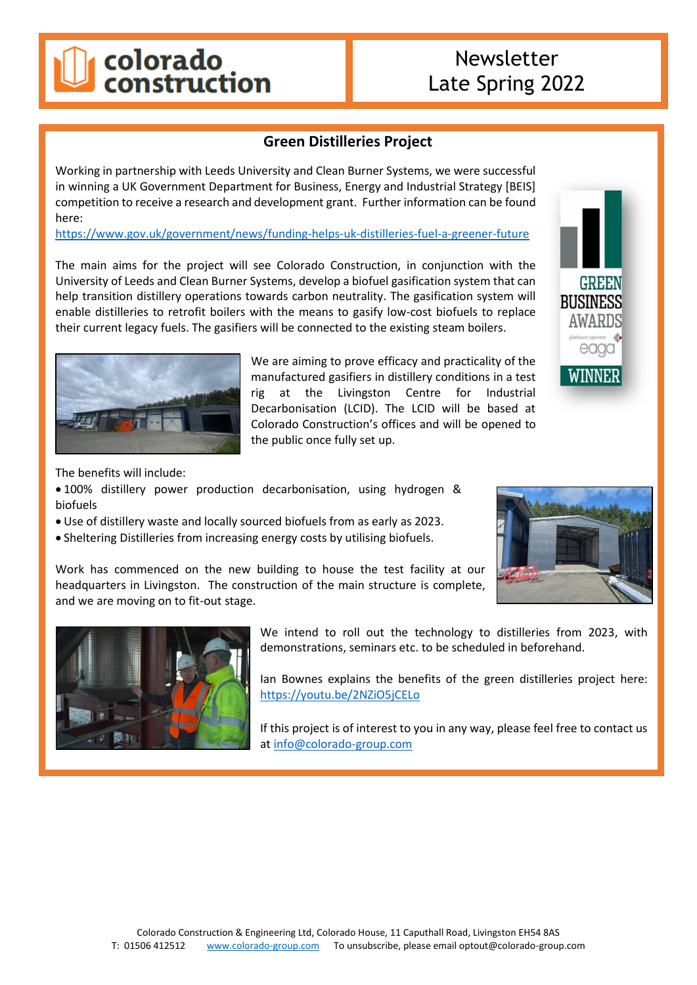# colorado<br>construction

# Newsletter Late Spring 2022

# **Green Distilleries Project**

Working in partnership with Leeds University and Clean Burner Systems, we were successful in winning a UK Government Department for Business, Energy and Industrial Strategy [BEIS] competition to receive a research and development grant. Further information can be found here:

<https://www.gov.uk/government/news/funding-helps-uk-distilleries-fuel-a-greener-future>

The main aims for the project will see Colorado Construction, in conjunction with the University of Leeds and Clean Burner Systems, develop a biofuel gasification system that can help transition distillery operations towards carbon neutrality. The gasification system will enable distilleries to retrofit boilers with the means to gasify low-cost biofuels to replace their current legacy fuels. The gasifiers will be connected to the existing steam boilers.



We are aiming to prove efficacy and practicality of the manufactured gasifiers in distillery conditions in a test rig at the Livingston Centre for Industrial Decarbonisation (LCID). The LCID will be based at Colorado Construction's offices and will be opened to the public once fully set up.



The benefits will include:

- 100% distillery power production decarbonisation, using hydrogen & biofuels
- Use of distillery waste and locally sourced biofuels from as early as 2023.
- Sheltering Distilleries from increasing energy costs by utilising biofuels.

Work has commenced on the new building to house the test facility at our headquarters in Livingston. The construction of the main structure is complete, and we are moving on to fit-out stage.





We intend to roll out the technology to distilleries from 2023, with demonstrations, seminars etc. to be scheduled in beforehand.

Ian Bownes explains the benefits of the green distilleries project here: <https://youtu.be/2NZiO5jCELo>

If this project is of interest to you in any way, please feel free to contact us at [info@colorado-group.com](mailto:info@colorado-group.com)